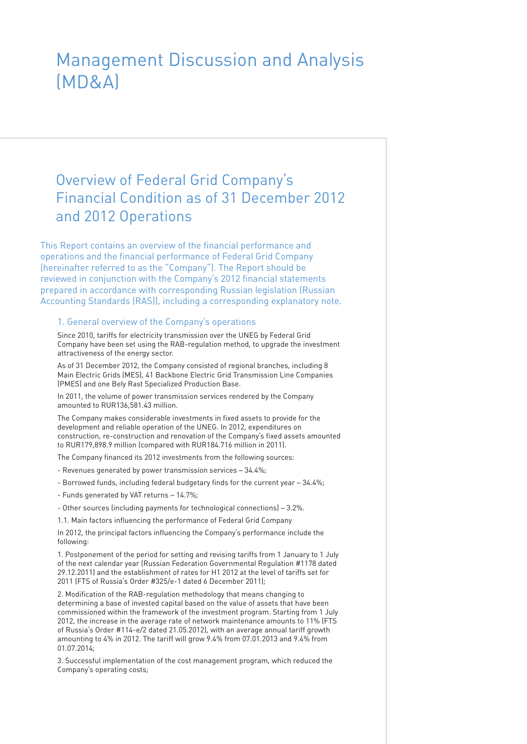# Management Discussion and Analysis (MD&A)

# Overview of Federal Grid Company's Financial Condition as of 31 December 2012 and 2012 Operations

This Report contains an overview of the financial performance and operations and the financial performance of Federal Grid Company (hereinafter referred to as the "Company"). The Report should be reviewed in conjunction with the Company's 2012 financial statements prepared in accordance with corresponding Russian legislation (Russian Accounting Standards (RAS)), including a corresponding explanatory note.

### 1. General overview of the Company's operations

Since 2010, tariffs for electricity transmission over the UNEG by Federal Grid Company have been set using the RAB-regulation method, to upgrade the investment attractiveness of the energy sector.

As of 31 December 2012, the Company consisted of regional branches, including 8 Main Electric Grids (MES), 41 Backbone Electric Grid Transmission Line Companies (PMES) and one Bely Rast Specialized Production Base.

In 2011, the volume of power transmission services rendered by the Company amounted to RUR136,581.43 million.

The Company makes considerable investments in fixed assets to provide for the development and reliable operation of the UNEG. In 2012, expenditures on construction, re-construction and renovation of the Company's fixed assets amounted to RUR179,898.9 million (compared with RUR184.716 million in 2011).

The Company financed its 2012 investments from the following sources:

- Revenues generated by power transmission services 34.4%;
- Borrowed funds, including federal budgetary finds for the current year 34.4%;
- Funds generated by VAT returns 14.7%;
- Other sources (including payments for technological connections) 3.2%.

1.1. Main factors influencing the performance of Federal Grid Company

In 2012, the principal factors influencing the Company's performance include the following:

1. Postponement of the period for setting and revising tariffs from 1 January to 1 July of the next calendar year (Russian Federation Governmental Regulation #1178 dated 29.12.2011) and the establishment of rates for H1 2012 at the level of tariffs set for 2011 (FTS of Russia's Order #325/e-1 dated 6 December 2011);

2. Modification of the RAB-regulation methodology that means changing to determining a base of invested capital based on the value of assets that have been commissioned within the framework of the investment program. Starting from 1 July 2012, the increase in the average rate of network maintenance amounts to 11% (FTS of Russia's Order #114-e/2 dated 21.05.2012), with an average annual tariff growth amounting to 4% in 2012. The tariff will grow 9.4% from 07.01.2013 and 9.4% from 01.07.2014;

3. Successful implementation of the cost management program, which reduced the Company's operating costs;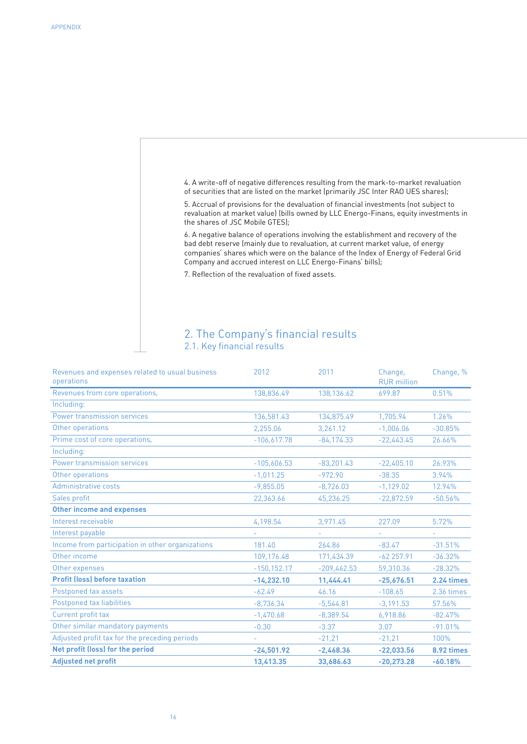4. A write-off of negative differences resulting from the mark-to-market revaluation of securities that are listed on the market (primarily JSC Inter RAO UES shares);

5. Accrual of provisions for the devaluation of financial investments (not subject to revaluation at market value) (bills owned by LLC Energo-Finans, equity investments in the shares of JSC Mobile GTES);

6. A negative balance of operations involving the establishment and recovery of the bad debt reserve (mainly due to revaluation, at current market value, of energy companies' shares which were on the balance of the Index of Energy of Federal Grid Company and accrued interest on LLC Energo-Finans' bills);

7. Reflection of the revaluation of fixed assets.

# 2. The Company's financial results 2.1. Key financial results

| Revenues and expenses related to usual business<br>operations | 2012           | 2011          | Change,<br><b>RUR</b> million | Change, %  |
|---------------------------------------------------------------|----------------|---------------|-------------------------------|------------|
| Revenues from core operations,                                | 138,836.49     | 138,136.62    | 699.87                        | 0.51%      |
| Including:                                                    |                |               |                               |            |
| Power transmission services                                   | 136,581.43     | 134,875.49    | 1,705.94                      | 1.26%      |
| Other operations                                              | 2,255.06       | 3,261.12      | $-1,006.06$                   | $-30.85%$  |
| Prime cost of core operations,                                | $-106,617.78$  | $-84,174.33$  | $-22,443.45$                  | 26.66%     |
| Including:                                                    |                |               |                               |            |
| Power transmission services                                   | $-105,606.53$  | $-83,201,43$  | $-22,405.10$                  | 26.93%     |
| Other operations                                              | $-1,011.25$    | $-972.90$     | $-38.35$                      | 3.94%      |
| Administrative costs                                          | $-9,855.05$    | $-8,726.03$   | $-1,129.02$                   | 12.94%     |
| Sales profit                                                  | 22,363.66      | 45,236.25     | $-22,872.59$                  | $-50.56%$  |
| <b>Other income and expenses</b>                              |                |               |                               |            |
| Interest receivable                                           | 4,198.54       | 3,971.45      | 227.09                        | 5.72%      |
| Interest payable                                              |                |               |                               |            |
| Income from participation in other organizations              | 181.40         | 264.86        | $-83.47$                      | $-31.51%$  |
| Other income                                                  | 109,176.48     | 171,434.39    | $-62257.91$                   | $-36.32%$  |
| Other expenses                                                | $-150, 152.17$ | $-209,462.53$ | 59,310.36                     | $-28.32%$  |
| <b>Profit (loss) before taxation</b>                          | $-14,232.10$   | 11,444.41     | $-25,676.51$                  | 2.24 times |
| Postponed tax assets                                          | $-62.49$       | 46.16         | $-108.65$                     | 2.36 times |
| Postponed tax liabilities                                     | $-8,736,34$    | $-5.544.81$   | $-3,191.53$                   | 57.56%     |
| Current profit tax                                            | $-1,470.68$    | $-8,389.54$   | 6,918.86                      | $-82.47%$  |
| Other similar mandatory payments                              | $-0.30$        | $-3.37$       | 3.07                          | $-91.01%$  |
| Adjusted profit tax for the preceding periods                 |                | $-21,21$      | $-21,21$                      | 100%       |
| Net profit (loss) for the period                              | $-24,501.92$   | $-2,468.36$   | $-22,033.56$                  | 8.92 times |
| <b>Adjusted net profit</b>                                    | 13,413.35      | 33,686.63     | $-20.273.28$                  | $-60.18%$  |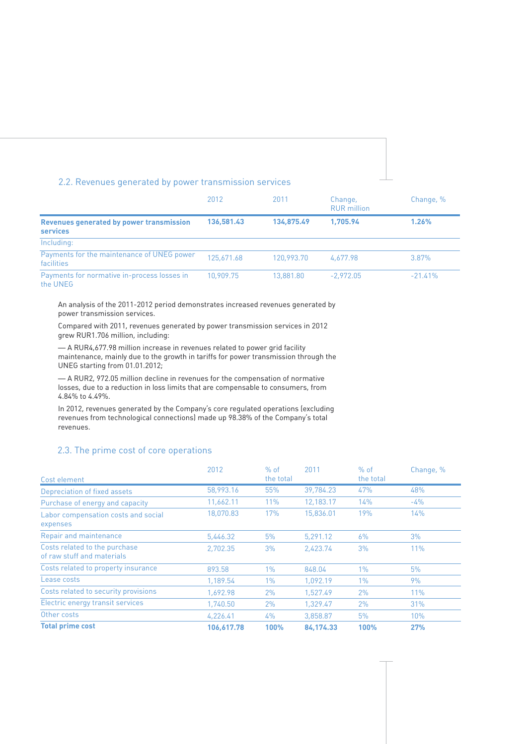### 2.2. Revenues generated by power transmission services

|                                                                                 | 2012       | 2011       | Change,<br><b>RUR</b> million | Change, % |
|---------------------------------------------------------------------------------|------------|------------|-------------------------------|-----------|
| <b>Revenues generated by power transmission</b><br><b>services</b>              | 136,581.43 | 134,875.49 | 1.705.94                      | 1.26%     |
| Including:                                                                      |            |            |                               |           |
| Payments for the maintenance of UNEG power<br>facilities                        | 125,671.68 | 120,993.70 | 4,677.98                      | 3.87%     |
| Payments for normative in-process losses in<br>$+$ $\sim$ $\sqrt{1}$ $\sqrt{1}$ | 10,909.75  | 13,881.80  | $-2.972.05$                   | $-21.41%$ |

the UNEG

An analysis of the 2011-2012 period demonstrates increased revenues generated by power transmission services.

Compared with 2011, revenues generated by power transmission services in 2012 grew RUR1.706 million, including:

— A RUR4,677.98 million increase in revenues related to power grid facility maintenance, mainly due to the growth in tariffs for power transmission through the UNEG starting from 01.01.2012;

— A RUR2, 972.05 million decline in revenues for the compensation of normative losses, due to a reduction in loss limits that are compensable to consumers, from 4.84% to 4.49%.

In 2012, revenues generated by the Company's core regulated operations (excluding revenues from technological connections) made up 98.38% of the Company's total revenues.

# 2.3. The prime cost of core operations

|                                                             | 2012       | $%$ of<br>the total | 2011      | $%$ of<br>the total | Change, % |
|-------------------------------------------------------------|------------|---------------------|-----------|---------------------|-----------|
| Cost element                                                |            |                     |           |                     |           |
| Depreciation of fixed assets                                | 58,993.16  | 55%                 | 39,784.23 | 47%                 | 48%       |
| Purchase of energy and capacity                             | 11,662.11  | 11%                 | 12,183.17 | 14%                 | $-4\%$    |
| Labor compensation costs and social<br>expenses             | 18,070.83  | 17%                 | 15,836.01 | 19%                 | 14%       |
| <b>Repair and maintenance</b>                               | 5,446.32   | 5%                  | 5,291.12  | $6\%$               | 3%        |
| Costs related to the purchase<br>of raw stuff and materials | 2.702.35   | 3%                  | 2,423.74  | 3%                  | 11%       |
| Costs related to property insurance                         | 893.58     | $1\%$               | 848.04    | 1%                  | 5%        |
| Lease costs                                                 | 1.189.54   | $1\%$               | 1.092.19  | 1%                  | 9%        |
| Costs related to security provisions                        | 1.692.98   | 2%                  | 1,527.49  | 2%                  | 11%       |
| Electric energy transit services                            | 1,740.50   | 2%                  | 1,329.47  | 2%                  | 31%       |
| Other costs                                                 | 4,226.41   | 4%                  | 3,858.87  | 5%                  | 10%       |
| <b>Total prime cost</b>                                     | 106,617.78 | 100%                | 84,174.33 | 100%                | 27%       |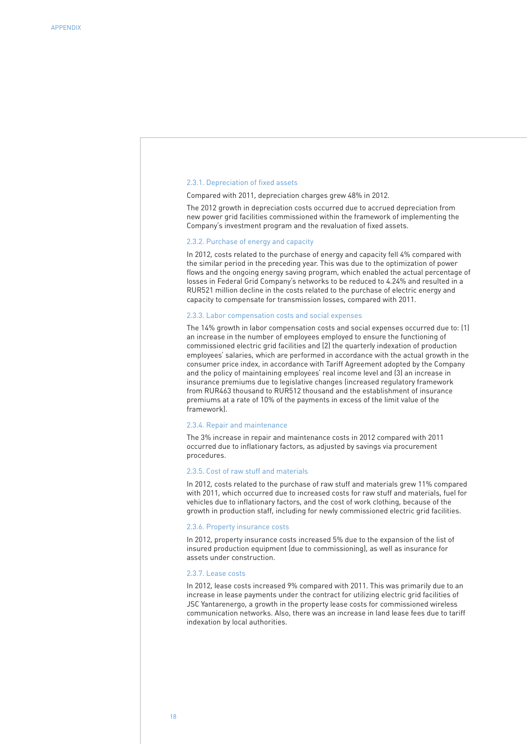#### 2.3.1. Depreciation of fixed assets

Compared with 2011, depreciation charges grew 48% in 2012.

The 2012 growth in depreciation costs occurred due to accrued depreciation from new power grid facilities commissioned within the framework of implementing the Company's investment program and the revaluation of fixed assets.

#### 2.3.2. Purchase of energy and capacity

In 2012, costs related to the purchase of energy and capacity fell 4% compared with the similar period in the preceding year. This was due to the optimization of power flows and the ongoing energy saving program, which enabled the actual percentage of losses in Federal Grid Company's networks to be reduced to 4.24% and resulted in a RUR521 million decline in the costs related to the purchase of electric energy and capacity to compensate for transmission losses, compared with 2011.

#### 2.3.3. Labor compensation costs and social expenses

The 14% growth in labor compensation costs and social expenses occurred due to: (1) an increase in the number of employees employed to ensure the functioning of commissioned electric grid facilities and (2) the quarterly indexation of production employees' salaries, which are performed in accordance with the actual growth in the consumer price index, in accordance with Tariff Agreement adopted by the Company and the policy of maintaining employees' real income level and (3) an increase in insurance premiums due to legislative changes (increased regulatory framework from RUR463 thousand to RUR512 thousand and the establishment of insurance premiums at a rate of 10% of the payments in excess of the limit value of the framework).

### 2.3.4. Repair and maintenance

The 3% increase in repair and maintenance costs in 2012 compared with 2011 occurred due to inflationary factors, as adjusted by savings via procurement procedures.

### 2.3.5. Cost of raw stuff and materials

In 2012, costs related to the purchase of raw stuff and materials grew 11% compared with 2011, which occurred due to increased costs for raw stuff and materials, fuel for vehicles due to inflationary factors, and the cost of work clothing, because of the growth in production staff, including for newly commissioned electric grid facilities.

### 2.3.6. Property insurance costs

In 2012, property insurance costs increased 5% due to the expansion of the list of insured production equipment (due to commissioning), as well as insurance for assets under construction.

#### 2.3.7. Lease costs

In 2012, lease costs increased 9% compared with 2011. This was primarily due to an increase in lease payments under the contract for utilizing electric grid facilities of JSC Yantarenergo, a growth in the property lease costs for commissioned wireless communication networks. Also, there was an increase in land lease fees due to tariff indexation by local authorities.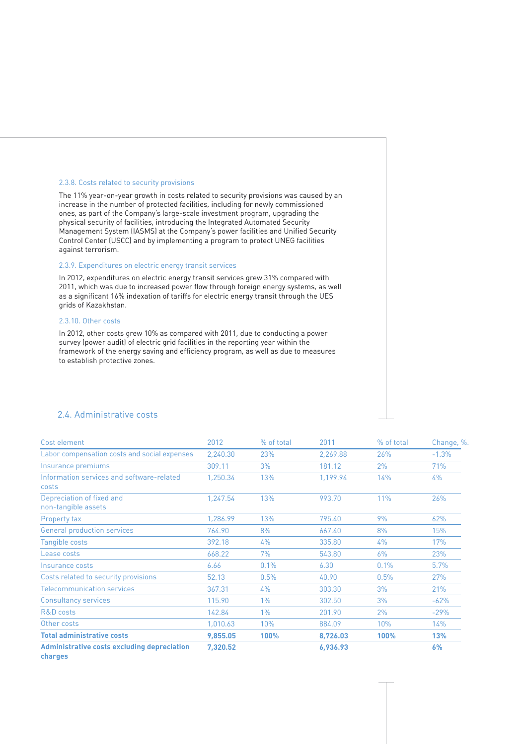### 2.3.8. Costs related to security provisions

The 11% year-on-year growth in costs related to security provisions was caused by an increase in the number of protected facilities, including for newly commissioned ones, as part of the Company's large-scale investment program, upgrading the physical security of facilities, introducing the Integrated Automated Security Management System (IASMS) at the Company's power facilities and Unified Security Control Center (USCC) and by implementing a program to protect UNEG facilities against terrorism.

### 2.3.9. Expenditures on electric energy transit services

In 2012, expenditures on electric energy transit services grew 31% compared with 2011, which was due to increased power flow through foreign energy systems, as well as a significant 16% indexation of tariffs for electric energy transit through the UES grids of Kazakhstan.

### 2.3.10. Other costs

In 2012, other costs grew 10% as compared with 2011, due to conducting a power survey (power audit) of electric grid facilities in the reporting year within the framework of the energy saving and efficiency program, as well as due to measures to establish protective zones.

| Cost element                                       | 2012     | % of total | 2011     | % of total | Change, %. |
|----------------------------------------------------|----------|------------|----------|------------|------------|
| Labor compensation costs and social expenses       | 2,240.30 | 23%        | 2,269.88 | 26%        | $-1.3%$    |
| Insurance premiums                                 | 309.11   | 3%         | 181.12   | 2%         | 71%        |
| Information services and software-related<br>costs | 1,250.34 | 13%        | 1.199.94 | 14%        | 4%         |
| Depreciation of fixed and<br>non-tangible assets   | 1.247.54 | 13%        | 993.70   | 11%        | 26%        |
| Property tax                                       | 1,286.99 | 13%        | 795.40   | 9%         | 62%        |
| <b>General production services</b>                 | 764.90   | 8%         | 667.40   | 8%         | 15%        |
| Tangible costs                                     | 392.18   | 4%         | 335.80   | $4\%$      | 17%        |
| Lease costs                                        | 668.22   | 7%         | 543.80   | 6%         | 23%        |
| Insurance costs                                    | 6.66     | 0.1%       | 6.30     | 0.1%       | 5.7%       |
| Costs related to security provisions               | 52.13    | 0.5%       | 40.90    | 0.5%       | 27%        |
| <b>Telecommunication services</b>                  | 367.31   | 4%         | 303.30   | 3%         | 21%        |
| <b>Consultancy services</b>                        | 115.90   | $1\%$      | 302.50   | 3%         | $-62%$     |
| R&D costs                                          | 142.84   | $1\%$      | 201.90   | 2%         | $-29%$     |
| Other costs                                        | 1,010.63 | 10%        | 884.09   | 10%        | 14%        |
| <b>Total administrative costs</b>                  | 9,855.05 | 100%       | 8,726.03 | 100%       | 13%        |
| <b>Administrative costs excluding depreciation</b> | 7.320.52 |            | 6,936.93 |            | 6%         |

### 2.4. Administrative costs

**charges**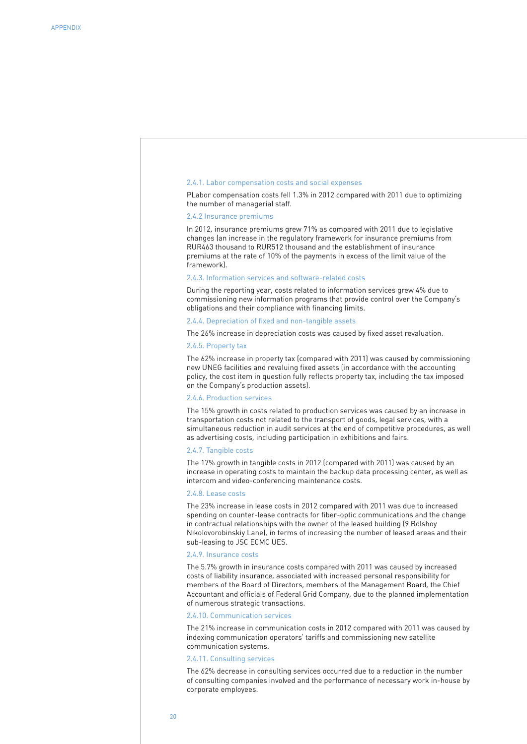# 2.4.1. Labor compensation costs and social expenses РLabor compensation costs fell 1.3% in 2012 compared with 2011 due to optimizing the number of managerial staff. 2.4.2 Insurance premiums In 2012, insurance premiums grew 71% as compared with 2011 due to legislative changes (an increase in the regulatory framework for insurance premiums from RUR463 thousand to RUR512 thousand and the establishment of insurance premiums at the rate of 10% of the payments in excess of the limit value of the framework). 2.4.3. Information services and software-related costs During the reporting year, costs related to information services grew 4% due to commissioning new information programs that provide control over the Company's obligations and their compliance with financing limits. 2.4.4. Depreciation of fixed and non-tangible assets The 26% increase in depreciation costs was caused by fixed asset revaluation. 2.4.5. Property tax The 62% increase in property tax (compared with 2011) was caused by commissioning new UNEG facilities and revaluing fixed assets (in accordance with the accounting policy, the cost item in question fully reflects property tax, including the tax imposed on the Company's production assets). 2.4.6. Production services The 15% growth in costs related to production services was caused by an increase in transportation costs not related to the transport of goods, legal services, with a simultaneous reduction in audit services at the end of competitive procedures, as well as advertising costs, including participation in exhibitions and fairs. 2.4.7. Tangible costs The 17% growth in tangible costs in 2012 (compared with 2011) was caused by an increase in operating costs to maintain the backup data processing center, as well as intercom and video-conferencing maintenance costs. 2.4.8. Lease costs The 23% increase in lease costs in 2012 compared with 2011 was due to increased spending on counter-lease contracts for fiber-optic communications and the change in contractual relationships with the owner of the leased building (9 Bolshoy Nikolovorobinskiy Lane), in terms of increasing the number of leased areas and their sub-leasing to JSC ECMC UES. 2.4.9. Insurance costs The 5.7% growth in insurance costs compared with 2011 was caused by increased costs of liability insurance, associated with increased personal responsibility for members of the Board of Directors, members of the Management Board, the Chief Accountant and officials of Federal Grid Company, due to the planned implementation of numerous strategic transactions. 2.4.10. Communication services The 21% increase in communication costs in 2012 compared with 2011 was caused by indexing communication operators' tariffs and commissioning new satellite communication systems. 2.4.11. Consulting services The 62% decrease in consulting services occurred due to a reduction in the number of consulting companies involved and the performance of necessary work in-house by corporate employees.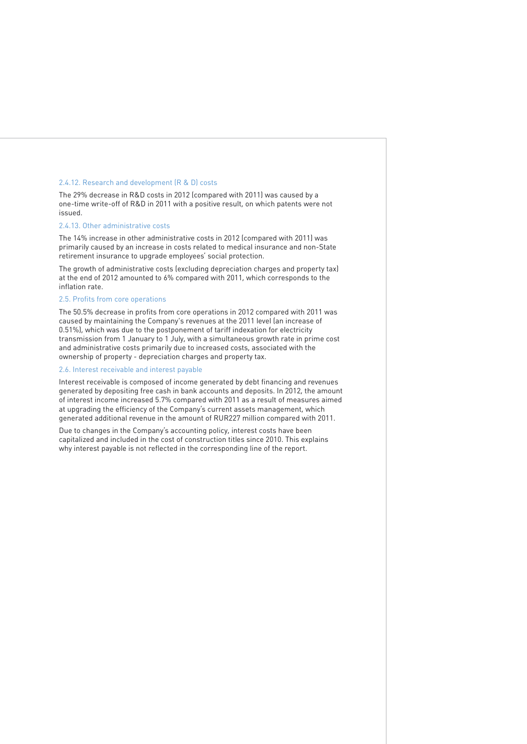### 2.4.12. Research and development (R & D) costs

The 29% decrease in R&D costs in 2012 (compared with 2011) was caused by a one-time write-off of R&D in 2011 with a positive result, on which patents were not issued.

#### 2.4.13. Other administrative costs

The 14% increase in other administrative costs in 2012 (compared with 2011) was primarily caused by an increase in costs related to medical insurance and non-State retirement insurance to upgrade employees' social protection.

The growth of administrative costs (excluding depreciation charges and property tax) at the end of 2012 amounted to 6% compared with 2011, which corresponds to the inflation rate.

#### 2.5. Profits from core operations

The 50.5% decrease in profits from core operations in 2012 compared with 2011 was caused by maintaining the Company's revenues at the 2011 level (an increase of 0.51%), which was due to the postponement of tariff indexation for electricity transmission from 1 January to 1 July, with a simultaneous growth rate in prime cost and administrative costs primarily due to increased costs, associated with the ownership of property - depreciation charges and property tax.

### 2.6. Interest receivable and interest payable

Interest receivable is composed of income generated by debt financing and revenues generated by depositing free cash in bank accounts and deposits. In 2012, the amount of interest income increased 5.7% compared with 2011 as a result of measures aimed at upgrading the efficiency of the Company's current assets management, which generated additional revenue in the amount of RUR227 million compared with 2011.

Due to changes in the Company's accounting policy, interest costs have been capitalized and included in the cost of construction titles since 2010. This explains why interest payable is not reflected in the corresponding line of the report.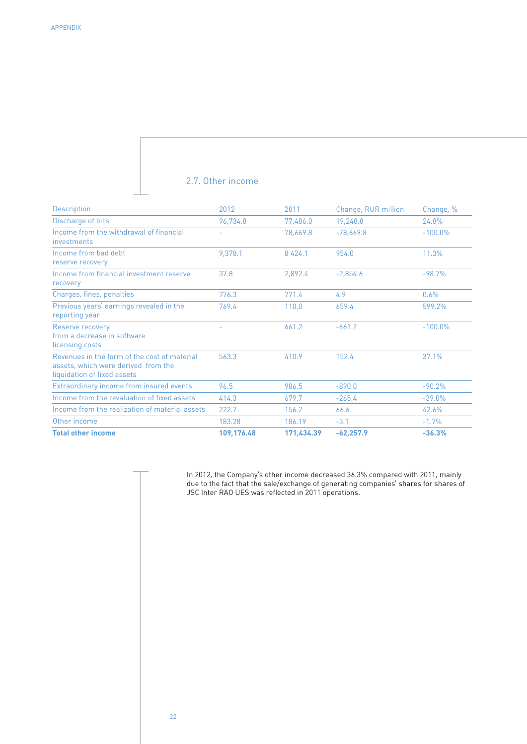# 2.7. Other income

| <b>Description</b>                                                                                                 | 2012       | 2011       | Change, RUR million | Change, %  |
|--------------------------------------------------------------------------------------------------------------------|------------|------------|---------------------|------------|
| Discharge of bills                                                                                                 | 96,734.8   | 77,486.0   | 19,248.8            | 24.8%      |
| Income from the withdrawal of financial<br>investments                                                             |            | 78,669.8   | $-78,669.8$         | $-100.0\%$ |
| Income from had debt<br>reserve recovery                                                                           | 9,378.1    | 8 4 2 4 1  | 954.0               | 11.3%      |
| Income from financial investment reserve<br>recovery                                                               | 37.8       | 2,892.4    | $-2,854.6$          | $-98.7%$   |
| Charges, fines, penalties                                                                                          | 776.3      | 771.4      | 4.9                 | 0.6%       |
| Previous years' earnings revealed in the<br>reporting year                                                         | 769.4      | 110.0      | 659.4               | 599.2%     |
| Reserve recovery<br>from a decrease in software<br>licensing costs                                                 |            | 661.2      | $-661.2$            | $-100.0\%$ |
| Revenues in the form of the cost of material<br>assets, which were derived from the<br>liquidation of fixed assets | 563.3      | 410.9      | 152.4               | 37.1%      |
| Extraordinary income from insured events                                                                           | 96.5       | 986.5      | $-890.0$            | $-90.2%$   |
| Income from the revaluation of fixed assets                                                                        | 414.3      | 679.7      | $-265.4$            | $-39.0%$   |
| Income from the realization of material assets                                                                     | 222.7      | 156.2      | 66.6                | 42.6%      |
| Other income                                                                                                       | 183.28     | 186.19     | $-3.1$              | $-1.7%$    |
| <b>Total other income</b>                                                                                          | 109,176.48 | 171,434.39 | $-62,257.9$         | $-36.3%$   |

In 2012, the Company's other income decreased 36.3% compared with 2011, mainly due to the fact that the sale/exchange of generating companies' shares for shares of JSC Inter RAO UES was reflected in 2011 operations.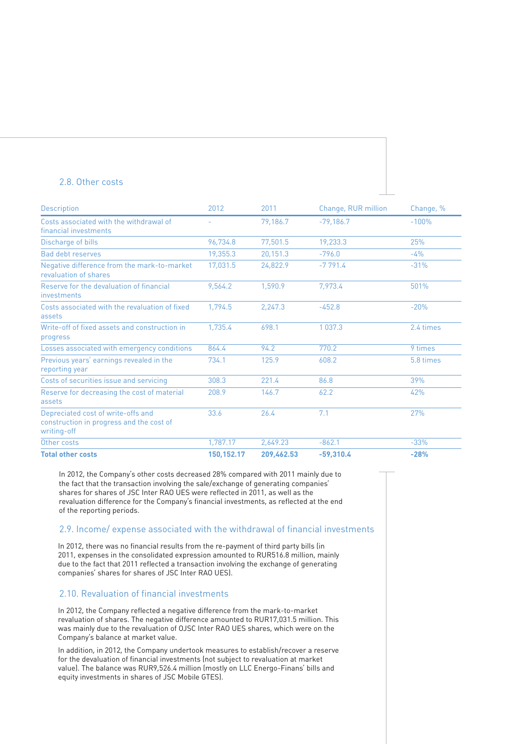## 2.8. Other costs

| <b>Description</b>                                                                            | 2012       | 2011       | Change, RUR million | Change, % |
|-----------------------------------------------------------------------------------------------|------------|------------|---------------------|-----------|
| Costs associated with the withdrawal of<br>financial investments                              |            | 79,186.7   | $-79.186.7$         | $-100%$   |
| Discharge of bills                                                                            | 96,734.8   | 77,501.5   | 19,233.3            | 25%       |
| <b>Bad debt reserves</b>                                                                      | 19,355.3   | 20,151.3   | $-796.0$            | $-4\%$    |
| Negative difference from the mark-to-market<br>revaluation of shares                          | 17,031.5   | 24,822.9   | $-7791.4$           | $-31%$    |
| Reserve for the devaluation of financial<br>investments                                       | 9.564.2    | 1,590.9    | 7,973.4             | 501%      |
| Costs associated with the revaluation of fixed<br>assets                                      | 1.794.5    | 2.247.3    | $-452.8$            | $-20%$    |
| Write-off of fixed assets and construction in<br>progress                                     | 1,735.4    | 698.1      | 1 0 3 7 . 3         | 2.4 times |
| Losses associated with emergency conditions                                                   | 864.4      | 94.2       | 770.2               | 9 times   |
| Previous years' earnings revealed in the<br>reporting year                                    | 734.1      | 125.9      | 608.2               | 5.8 times |
| Costs of securities issue and servicing                                                       | 308.3      | 221.4      | 86.8                | 39%       |
| Reserve for decreasing the cost of material<br>assets                                         | 208.9      | 146.7      | 62.2                | 42%       |
| Depreciated cost of write-offs and<br>construction in progress and the cost of<br>writing-off | 33.6       | 26.4       | 7.1                 | 27%       |
| Other costs                                                                                   | 1,787.17   | 2,649.23   | $-862.1$            | $-33%$    |
| <b>Total other costs</b>                                                                      | 150,152.17 | 209,462.53 | $-59,310.4$         | $-28%$    |

In 2012, the Company's other costs decreased 28% compared with 2011 mainly due to the fact that the transaction involving the sale/exchange of generating companies' shares for shares of JSC Inter RAO UES were reflected in 2011, as well as the revaluation difference for the Company's financial investments, as reflected at the end of the reporting periods.

### 2.9. Income/ expense associated with the withdrawal of financial investments

In 2012, there was no financial results from the re-payment of third party bills (in 2011, expenses in the consolidated expression amounted to RUR516.8 million, mainly due to the fact that 2011 reflected a transaction involving the exchange of generating companies' shares for shares of JSC Inter RAO UES).

### 2.10. Revaluation of financial investments

In 2012, the Company reflected a negative difference from the mark-to-market revaluation of shares. The negative difference amounted to RUR17,031.5 million. This was mainly due to the revaluation of OJSC Inter RAO UES shares, which were on the Company's balance at market value.

In addition, in 2012, the Company undertook measures to establish/recover a reserve for the devaluation of financial investments (not subject to revaluation at market value). The balance was RUR9,526.4 million (mostly on LLC Energo-Finans' bills and equity investments in shares of JSC Mobile GTES).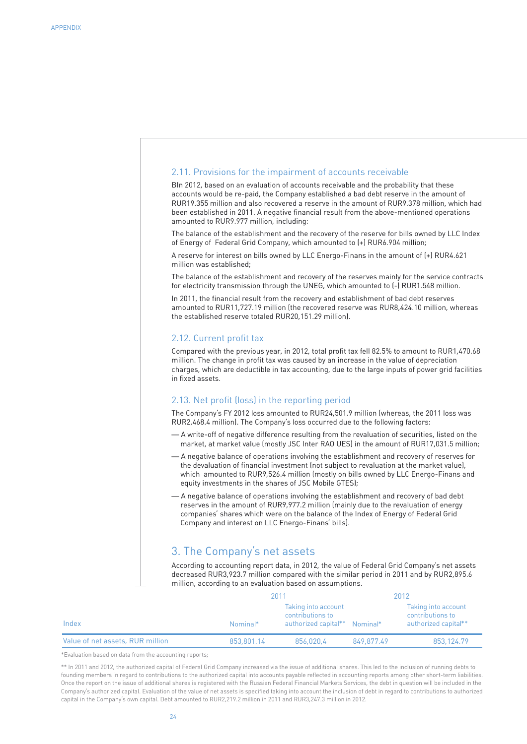# 2.11. Provisions for the impairment of accounts receivable ВIn 2012, based on an evaluation of accounts receivable and the probability that these accounts would be re-paid, the Company established a bad debt reserve in the amount of RUR19.355 million and also recovered a reserve in the amount of RUR9.378 million, which had been established in 2011. A negative financial result from the above-mentioned operations amounted to RUR9.977 million, including: The balance of the establishment and the recovery of the reserve for bills owned by LLC Index of Energy of Federal Grid Company, which amounted to (+) RUR6.904 million; A reserve for interest on bills owned by LLC Energo-Finans in the amount of (+) RUR4.621 million was established; The balance of the establishment and recovery of the reserves mainly for the service contracts for electricity transmission through the UNEG, which amounted to (-) RUR1.548 million. In 2011, the financial result from the recovery and establishment of bad debt reserves amounted to RUR11,727.19 million (the recovered reserve was RUR8,424.10 million, whereas the established reserve totaled RUR20,151.29 million). 2.12. Current profit tax Compared with the previous year, in 2012, total profit tax fell 82.5% to amount to RUR1,470.68 million. The change in profit tax was caused by an increase in the value of depreciation charges, which are deductible in tax accounting, due to the large inputs of power grid facilities in fixed assets. 2.13. Net profit (loss) in the reporting period The Company's FY 2012 loss amounted to RUR24,501.9 million (whereas, the 2011 loss was RUR2,468.4 million). The Company's loss occurred due to the following factors: — A write-off of negative difference resulting from the revaluation of securities, listed on the market, at market value (mostly JSC Inter RAO UES) in the amount of RUR17,031.5 million; — A negative balance of operations involving the establishment and recovery of reserves for the devaluation of financial investment (not subject to revaluation at the market value), which amounted to RUR9,526.4 million (mostly on bills owned by LLC Energo-Finans and equity investments in the shares of JSC Mobile GTES); — A negative balance of operations involving the establishment and recovery of bad debt reserves in the amount of RUR9,977.2 million (mainly due to the revaluation of energy companies' shares which were on the balance of the Index of Energy of Federal Grid Company and interest on LLC Energo-Finans' bills). 3. The Company's net assets

According to accounting report data, in 2012, the value of Federal Grid Company's net assets decreased RUR3,923.7 million compared with the similar period in 2011 and by RUR2,895.6 million, according to an evaluation based on assumptions.

|                                  | 2011       |                                                                          |            | 2012                                                            |
|----------------------------------|------------|--------------------------------------------------------------------------|------------|-----------------------------------------------------------------|
| Index                            | Nominal*   | Taking into account<br>contributions to<br>authorized capital** Nominal* |            | Taking into account<br>contributions to<br>authorized capital** |
| Value of net assets, RUR million | 853,801.14 | 856,020.4                                                                | 849.877.49 | 853,124.79                                                      |

\*Evaluation based on data from the accounting reports;

\*\* In 2011 and 2012, the authorized capital of Federal Grid Company increased via the issue of additional shares. This led to the inclusion of running debts to founding members in regard to contributions to the authorized capital into accounts payable reflected in accounting reports among other short-term liabilities. Once the report on the issue of additional shares is registered with the Russian Federal Financial Markets Services, the debt in question will be included in the Company's authorized capital. Evaluation of the value of net assets is specified taking into account the inclusion of debt in regard to contributions to authorized capital in the Company's own capital. Debt amounted to RUR2,219.2 million in 2011 and RUR3,247.3 million in 2012.